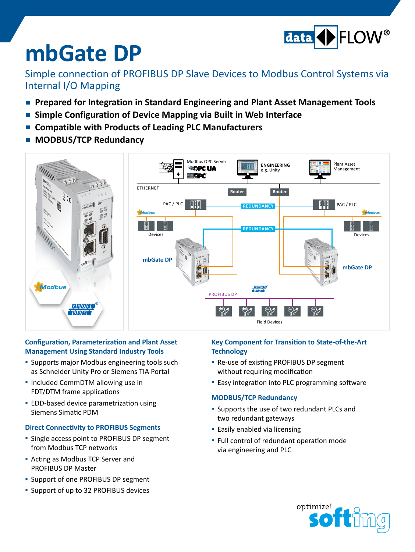

# **mbGate DP**

### Simple connection of PROFIBUS DP Slave Devices to Modbus Control Systems via Internal I/O Mapping

- **Prepared for Integration in Standard Engineering and Plant Asset Management Tools**
- **Simple Configuration of Device Mapping via Built in Web Interface**
- **▪ Compatible with Products of Leading PLC Manufacturers**
- **▪ MODBUS/TCP Redundancy**



#### **Configuration, Parameterization and Plant Asset Management Using Standard Industry Tools**

- **▪** Supports major Modbus engineering tools such as Schneider Unity Pro or Siemens TIA Portal
- **▪**  Included CommDTM allowing use in FDT/DTM frame applications
- **▪** EDD-based device parametrization using Siemens Simatic PDM

#### **Direct Connectivity to PROFIBUS Segments**

- **▪**  Single access point to PROFIBUS DP segment from Modbus TCP networks
- **▪** Acting as Modbus TCP Server and PROFIBUS DP Master
- **▪**  Support of one PROFIBUS DP segment
- **▪**  Support of up to 32 PROFIBUS devices

#### **Key Component for Transition to State-of-the-Art Technology**

- **▪** Re-use of existing PROFIBUS DP segment without requiring modification
- **▪**  Easy integration into PLC programming software

#### **MODBUS/TCP Redundancy**

- Supports the use of two redundant PLCs and two redundant gateways
- **▪**  Easily enabled via licensing
- **▪**  Full control of redundant operation mode via engineering and PLC